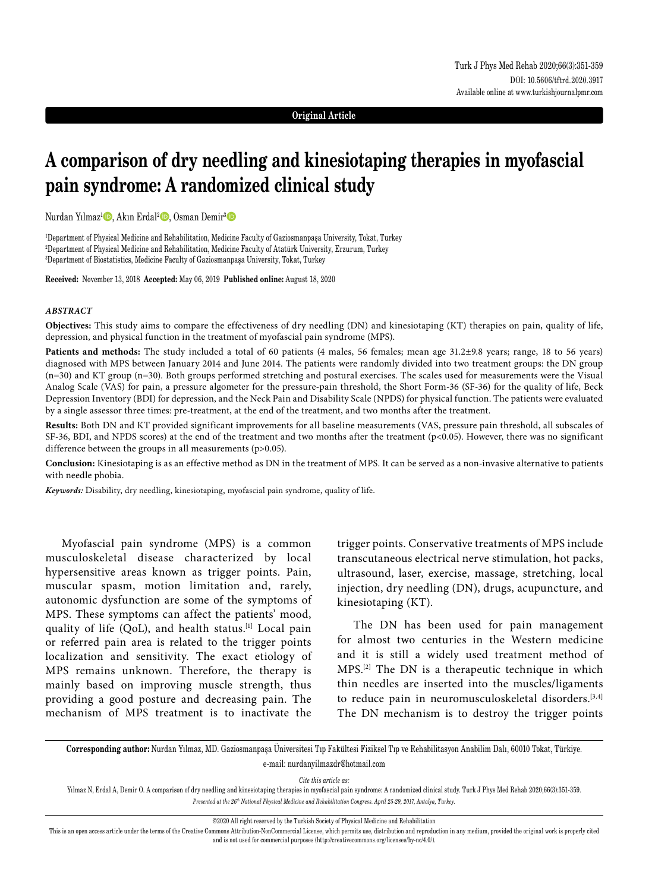**Original Article**

# **A comparison of dry needling and kinesiotaping therapies in myofascial pain syndrome: A randomized clinical study**

Nurdan Yılmaz<sup>ı</sup> D, Akın Erdal<sup>2</sup> D, Osman Demir<sup>3</sup> D

1 Department of Physical Medicine and Rehabilitation, Medicine Faculty of Gaziosmanpaşa University, Tokat, Turkey 2 Department of Physical Medicine and Rehabilitation, Medicine Faculty of Atatürk University, Erzurum, Turkey 3 Department of Biostatistics, Medicine Faculty of Gaziosmanpaşa University, Tokat, Turkey

**Received:** November 13, 2018 **Accepted:** May 06, 2019 **Published online:** August 18, 2020

#### *ABSTRACT*

**Objectives:** This study aims to compare the effectiveness of dry needling (DN) and kinesiotaping (KT) therapies on pain, quality of life, depression, and physical function in the treatment of myofascial pain syndrome (MPS).

Patients and methods: The study included a total of 60 patients (4 males, 56 females; mean age 31.2±9.8 years; range, 18 to 56 years) diagnosed with MPS between January 2014 and June 2014. The patients were randomly divided into two treatment groups: the DN group (n=30) and KT group (n=30). Both groups performed stretching and postural exercises. The scales used for measurements were the Visual Analog Scale (VAS) for pain, a pressure algometer for the pressure-pain threshold, the Short Form-36 (SF-36) for the quality of life, Beck Depression Inventory (BDI) for depression, and the Neck Pain and Disability Scale (NPDS) for physical function. The patients were evaluated by a single assessor three times: pre-treatment, at the end of the treatment, and two months after the treatment.

**Results:** Both DN and KT provided significant improvements for all baseline measurements (VAS, pressure pain threshold, all subscales of SF-36, BDI, and NPDS scores) at the end of the treatment and two months after the treatment (p<0.05). However, there was no significant difference between the groups in all measurements (p>0.05).

**Conclusion:** Kinesiotaping is as an effective method as DN in the treatment of MPS. It can be served as a non-invasive alternative to patients with needle phobia.

*Keywords:* Disability, dry needling, kinesiotaping, myofascial pain syndrome, quality of life.

Myofascial pain syndrome (MPS) is a common musculoskeletal disease characterized by local hypersensitive areas known as trigger points. Pain, muscular spasm, motion limitation and, rarely, autonomic dysfunction are some of the symptoms of MPS. These symptoms can affect the patients' mood, quality of life (QoL), and health status.<sup>[1]</sup> Local pain or referred pain area is related to the trigger points localization and sensitivity. The exact etiology of MPS remains unknown. Therefore, the therapy is mainly based on improving muscle strength, thus providing a good posture and decreasing pain. The mechanism of MPS treatment is to inactivate the

trigger points. Conservative treatments of MPS include transcutaneous electrical nerve stimulation, hot packs, ultrasound, laser, exercise, massage, stretching, local injection, dry needling (DN), drugs, acupuncture, and kinesiotaping (KT).

The DN has been used for pain management for almost two centuries in the Western medicine and it is still a widely used treatment method of MPS.[2] The DN is a therapeutic technique in which thin needles are inserted into the muscles/ligaments to reduce pain in neuromusculoskeletal disorders.<sup>[3,4]</sup> The DN mechanism is to destroy the trigger points

**Corresponding author:** Nurdan Yılmaz, MD. Gaziosmanpaşa Üniversitesi Tıp Fakültesi Fiziksel Tıp ve Rehabilitasyon Anabilim Dalı, 60010 Tokat, Türkiye. e-mail: nurdanyilmazdr@hotmail.com

*Cite this article as:*

Yılmaz N, Erdal A, Demir O. A comparison of dry needling and kinesiotaping therapies in myofascial pain syndrome: A randomized clinical study. Turk J Phys Med Rehab 2020;66(3):351-359. *Presented at the 26th National Physical Medicine and Rehabilitation Congress. April 25-29, 2017, Antalya, Turkey.*

©2020 All right reserved by the Turkish Society of Physical Medicine and Rehabilitation

This is an open access article under the terms of the Creative Commons Attribution-NonCommercial License, which permits use, distribution and reproduction in any medium, provided the original work is properly cited and is not used for commercial purposes (http://creativecommons.org/licenses/by-nc/4.0/).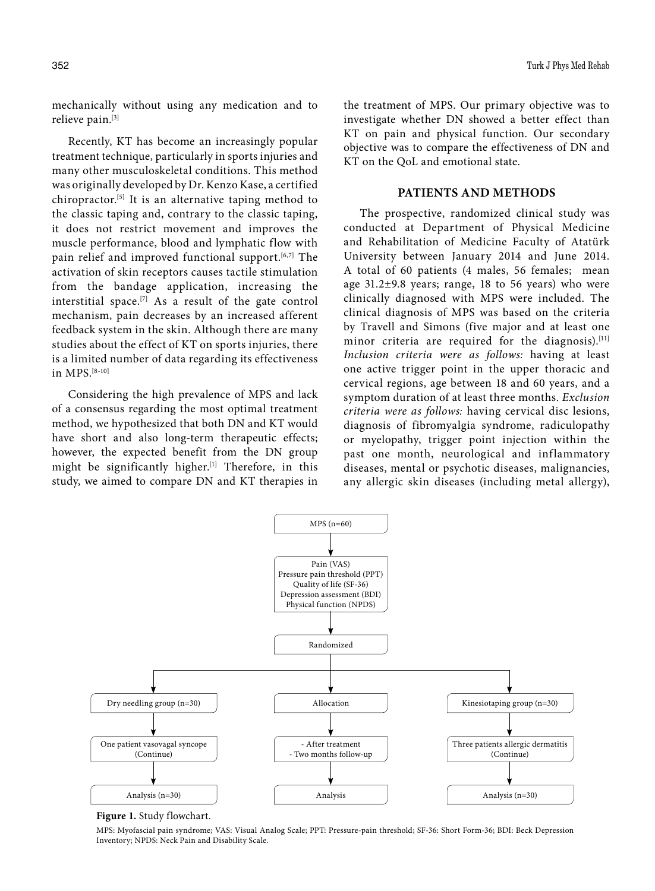mechanically without using any medication and to relieve pain.[3]

Recently, KT has become an increasingly popular treatment technique, particularly in sports injuries and many other musculoskeletal conditions. This method was originally developed by Dr. Kenzo Kase, a certified chiropractor.[5] It is an alternative taping method to the classic taping and, contrary to the classic taping, it does not restrict movement and improves the muscle performance, blood and lymphatic flow with pain relief and improved functional support.<sup>[6,7]</sup> The activation of skin receptors causes tactile stimulation from the bandage application, increasing the interstitial space.<sup>[7]</sup> As a result of the gate control mechanism, pain decreases by an increased afferent feedback system in the skin. Although there are many studies about the effect of KT on sports injuries, there is a limited number of data regarding its effectiveness in MPS.[8-10]

Considering the high prevalence of MPS and lack of a consensus regarding the most optimal treatment method, we hypothesized that both DN and KT would have short and also long-term therapeutic effects; however, the expected benefit from the DN group might be significantly higher.<sup>[1]</sup> Therefore, in this study, we aimed to compare DN and KT therapies in the treatment of MPS. Our primary objective was to investigate whether DN showed a better effect than KT on pain and physical function. Our secondary objective was to compare the effectiveness of DN and KT on the QoL and emotional state.

## **PATIENTS AND METHODS**

The prospective, randomized clinical study was conducted at Department of Physical Medicine and Rehabilitation of Medicine Faculty of Atatürk University between January 2014 and June 2014. A total of 60 patients (4 males, 56 females; mean age 31.2±9.8 years; range, 18 to 56 years) who were clinically diagnosed with MPS were included. The clinical diagnosis of MPS was based on the criteria by Travell and Simons (five major and at least one minor criteria are required for the diagnosis). $[11]$ *Inclusion criteria were as follows:* having at least one active trigger point in the upper thoracic and cervical regions, age between 18 and 60 years, and a symptom duration of at least three months. *Exclusion criteria were as follows:* having cervical disc lesions, diagnosis of fibromyalgia syndrome, radiculopathy or myelopathy, trigger point injection within the past one month, neurological and inflammatory diseases, mental or psychotic diseases, malignancies, any allergic skin diseases (including metal allergy),



#### **Figure 1.** Study flowchart.

MPS: Myofascial pain syndrome; VAS: Visual Analog Scale; PPT: Pressure-pain threshold; SF-36: Short Form-36; BDI: Beck Depression Inventory; NPDS: Neck Pain and Disability Scale.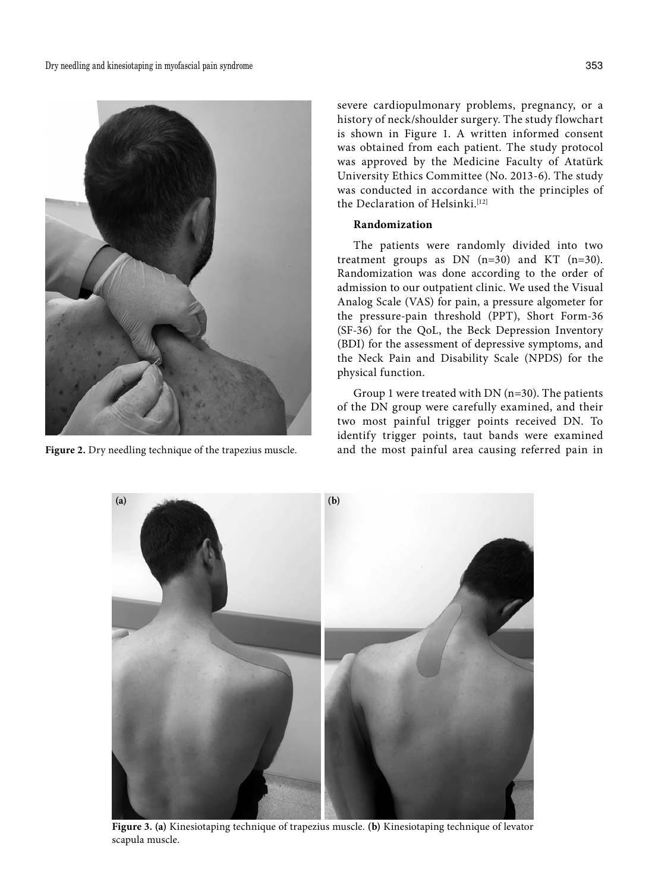

severe cardiopulmonary problems, pregnancy, or a history of neck/shoulder surgery. The study flowchart is shown in Figure 1. A written informed consent was obtained from each patient. The study protocol was approved by the Medicine Faculty of Atatürk University Ethics Committee (No. 2013-6). The study was conducted in accordance with the principles of the Declaration of Helsinki.[12]

# **Randomization**

The patients were randomly divided into two treatment groups as  $DN$  (n=30) and  $KT$  (n=30). Randomization was done according to the order of admission to our outpatient clinic. We used the Visual Analog Scale (VAS) for pain, a pressure algometer for the pressure-pain threshold (PPT), Short Form-36 (SF-36) for the QoL, the Beck Depression Inventory (BDI) for the assessment of depressive symptoms, and the Neck Pain and Disability Scale (NPDS) for the physical function.

Group 1 were treated with DN (n=30). The patients of the DN group were carefully examined, and their two most painful trigger points received DN. To identify trigger points, taut bands were examined Figure 2. Dry needling technique of the trapezius muscle. and the most painful area causing referred pain in



**Figure 3. (a)** Kinesiotaping technique of trapezius muscle. **(b)** Kinesiotaping technique of levator scapula muscle.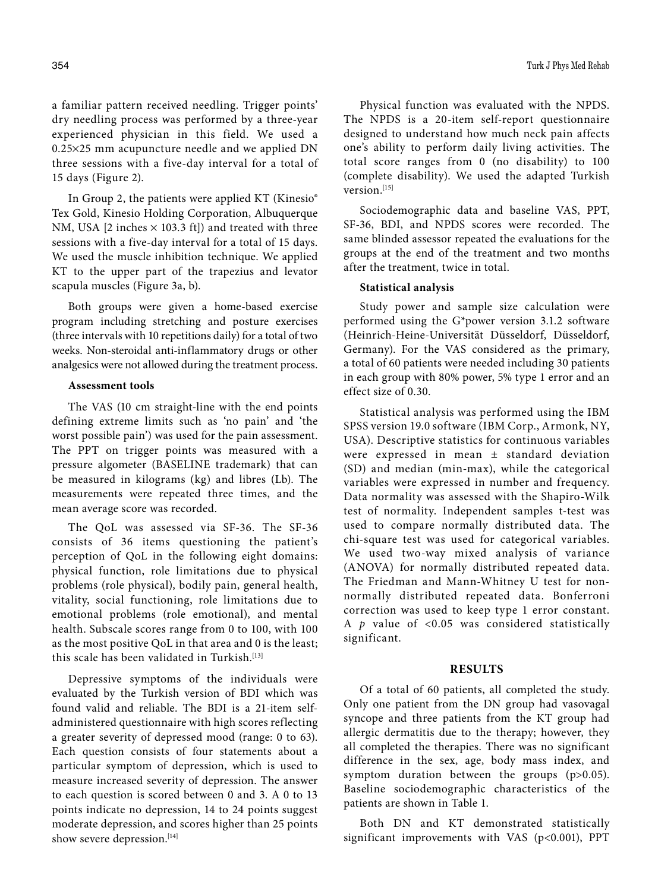a familiar pattern received needling. Trigger points' dry needling process was performed by a three-year experienced physician in this field. We used a 0.25¥25 mm acupuncture needle and we applied DN three sessions with a five-day interval for a total of 15 days (Figure 2).

In Group 2, the patients were applied KT (Kinesio® Tex Gold, Kinesio Holding Corporation, Albuquerque NM, USA [2 inches  $\times$  103.3 ft]) and treated with three sessions with a five-day interval for a total of 15 days. We used the muscle inhibition technique. We applied KT to the upper part of the trapezius and levator scapula muscles (Figure 3a, b).

Both groups were given a home-based exercise program including stretching and posture exercises (three intervals with 10 repetitions daily) for a total of two weeks. Non-steroidal anti-inflammatory drugs or other analgesics were not allowed during the treatment process.

## **Assessment tools**

The VAS (10 cm straight-line with the end points defining extreme limits such as 'no pain' and 'the worst possible pain') was used for the pain assessment. The PPT on trigger points was measured with a pressure algometer (BASELINE trademark) that can be measured in kilograms (kg) and libres (Lb). The measurements were repeated three times, and the mean average score was recorded.

The QoL was assessed via SF-36. The SF-36 consists of 36 items questioning the patient's perception of QoL in the following eight domains: physical function, role limitations due to physical problems (role physical), bodily pain, general health, vitality, social functioning, role limitations due to emotional problems (role emotional), and mental health. Subscale scores range from 0 to 100, with 100 as the most positive QoL in that area and 0 is the least; this scale has been validated in Turkish.[13]

Depressive symptoms of the individuals were evaluated by the Turkish version of BDI which was found valid and reliable. The BDI is a 21-item selfadministered questionnaire with high scores reflecting a greater severity of depressed mood (range: 0 to 63). Each question consists of four statements about a particular symptom of depression, which is used to measure increased severity of depression. The answer to each question is scored between 0 and 3. A 0 to 13 points indicate no depression, 14 to 24 points suggest moderate depression, and scores higher than 25 points show severe depression.<sup>[14]</sup>

Physical function was evaluated with the NPDS. The NPDS is a 20-item self-report questionnaire designed to understand how much neck pain affects one's ability to perform daily living activities. The total score ranges from 0 (no disability) to 100 (complete disability). We used the adapted Turkish version.[15]

Sociodemographic data and baseline VAS, PPT, SF-36, BDI, and NPDS scores were recorded. The same blinded assessor repeated the evaluations for the groups at the end of the treatment and two months after the treatment, twice in total.

### **Statistical analysis**

Study power and sample size calculation were performed using the G\*power version 3.1.2 software (Heinrich-Heine-Universität Düsseldorf, Düsseldorf, Germany). For the VAS considered as the primary, a total of 60 patients were needed including 30 patients in each group with 80% power, 5% type 1 error and an effect size of 0.30.

Statistical analysis was performed using the IBM SPSS version 19.0 software (IBM Corp., Armonk, NY, USA). Descriptive statistics for continuous variables were expressed in mean ± standard deviation (SD) and median (min-max), while the categorical variables were expressed in number and frequency. Data normality was assessed with the Shapiro-Wilk test of normality. Independent samples t-test was used to compare normally distributed data. The chi-square test was used for categorical variables. We used two-way mixed analysis of variance (ANOVA) for normally distributed repeated data. The Friedman and Mann-Whitney U test for nonnormally distributed repeated data. Bonferroni correction was used to keep type 1 error constant. A *p* value of <0.05 was considered statistically significant.

## **RESULTS**

Of a total of 60 patients, all completed the study. Only one patient from the DN group had vasovagal syncope and three patients from the KT group had allergic dermatitis due to the therapy; however, they all completed the therapies. There was no significant difference in the sex, age, body mass index, and symptom duration between the groups (p>0.05). Baseline sociodemographic characteristics of the patients are shown in Table 1.

Both DN and KT demonstrated statistically significant improvements with VAS (p<0.001), PPT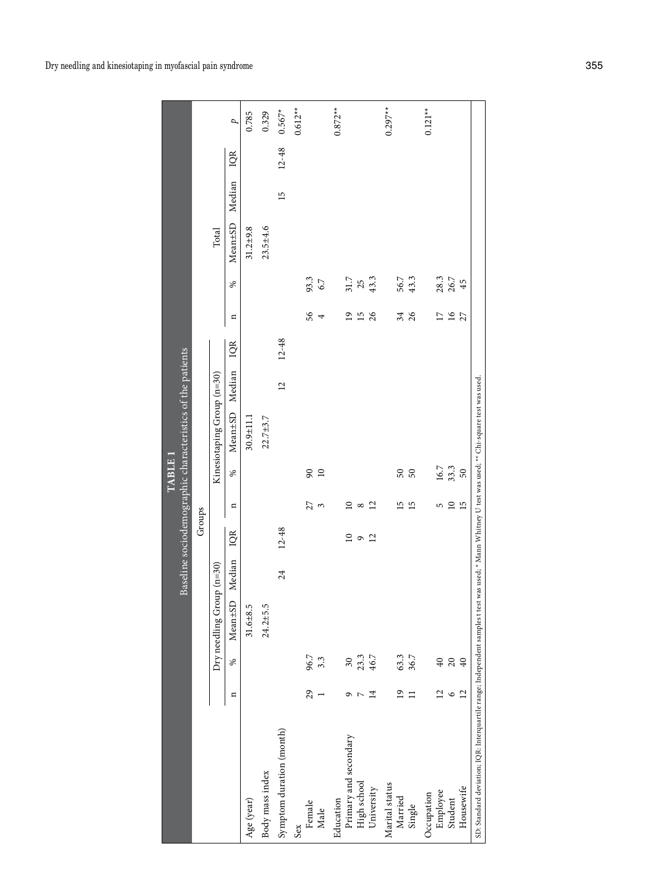|                                                                                                                                                     |                 |                          |                             |        |                 |                     | TABLE <sub>1</sub>               | Baseline sociodemographic characteristics of the patients |                 |           |                 |                          |              |        |           |           |
|-----------------------------------------------------------------------------------------------------------------------------------------------------|-----------------|--------------------------|-----------------------------|--------|-----------------|---------------------|----------------------------------|-----------------------------------------------------------|-----------------|-----------|-----------------|--------------------------|--------------|--------|-----------|-----------|
|                                                                                                                                                     |                 |                          |                             |        | Groups          |                     |                                  |                                                           |                 |           |                 |                          |              |        |           |           |
|                                                                                                                                                     |                 |                          | $Dry$ needling Group (n=30) |        |                 |                     |                                  | Kinesiotaping Group (n=30)                                |                 |           |                 |                          | Total        |        |           |           |
|                                                                                                                                                     | n               | ℅                        | Mean±SD                     | Median | iQR             | n                   | %                                | Mean±SD                                                   | Median          | IQR       | n               | ℅                        | Mean±SD      | Median | IQR       | p         |
| Age (year)                                                                                                                                          |                 |                          | $31.6 + 8.5$                |        |                 |                     |                                  | $30.9 \pm 11.1$                                           |                 |           |                 |                          | $31.2 + 9.8$ |        |           | 0.785     |
| Body mass index                                                                                                                                     |                 |                          | $24.2 \pm 5.5$              |        |                 |                     |                                  | $22.7 + 3.7$                                              |                 |           |                 |                          | $23.5 + 4.6$ |        |           | 0.329     |
| Symptom duration (month)                                                                                                                            |                 |                          |                             | 24     | $12 - 48$       |                     |                                  |                                                           | $\overline{12}$ | $12 - 48$ |                 |                          |              | 15     | $12 - 48$ | $0.567*$  |
| Sex                                                                                                                                                 |                 |                          |                             |        |                 |                     |                                  |                                                           |                 |           |                 |                          |              |        |           | $0.612**$ |
| Female<br>Male                                                                                                                                      | 29              | 96.7<br>3.3              |                             |        |                 | 27<br>$\tilde{\xi}$ | $\mathcal{S}$<br>$\overline{10}$ |                                                           |                 |           | 56              | 93.3<br>6.7              |              |        |           |           |
|                                                                                                                                                     |                 |                          |                             |        |                 |                     |                                  |                                                           |                 |           | 4               |                          |              |        |           |           |
| Education                                                                                                                                           |                 |                          |                             |        |                 |                     |                                  |                                                           |                 |           |                 |                          |              |        |           | $0.872**$ |
|                                                                                                                                                     | σ               |                          |                             |        | $\overline{10}$ | $\overline{a}$      |                                  |                                                           |                 |           | $\overline{a}$  |                          |              |        |           |           |
|                                                                                                                                                     |                 | $30$<br>$23.3$<br>$46.7$ |                             |        | $\sigma$        | $\infty$            |                                  |                                                           |                 |           | 15              | $31.7$<br>$25$<br>$43.3$ |              |        |           |           |
| Primary and secondary<br>High school<br>University                                                                                                  | 14              |                          |                             |        | $\overline{12}$ | 12                  |                                  |                                                           |                 |           | 26              |                          |              |        |           |           |
| Marital status                                                                                                                                      |                 |                          |                             |        |                 |                     |                                  |                                                           |                 |           |                 |                          |              |        |           | $0.297**$ |
| Married                                                                                                                                             | $\overline{1}$  | 63.3                     |                             |        |                 | $\overline{15}$     | 50                               |                                                           |                 |           | 34              | 56.7                     |              |        |           |           |
| Single                                                                                                                                              |                 | 36.7                     |                             |        |                 | 15                  | 50                               |                                                           |                 |           | 26              | 43.3                     |              |        |           |           |
| Occupation                                                                                                                                          |                 |                          |                             |        |                 |                     |                                  |                                                           |                 |           |                 |                          |              |        |           | $0.121**$ |
| Employee                                                                                                                                            | $\overline{2}$  | 40                       |                             |        |                 | 5                   | 16.7<br>33.3                     |                                                           |                 |           | $\overline{17}$ | 28.3<br>26.7             |              |        |           |           |
| Student                                                                                                                                             | $\circ$         | 20                       |                             |        |                 | $\Xi$               |                                  |                                                           |                 |           | $\overline{16}$ |                          |              |        |           |           |
| Housewife                                                                                                                                           | $\overline{12}$ | 40                       |                             |        |                 | 15                  | 50                               |                                                           |                 |           | 27              | 45                       |              |        |           |           |
| SD: Standard deviation; IQR: Interquartile range; Independent samples t test was used; * Mann Whitney U test was used; ** Chi-square test was used. |                 |                          |                             |        |                 |                     |                                  |                                                           |                 |           |                 |                          |              |        |           |           |

Dry needling and kinesiotaping in myofascial pain syndrome 355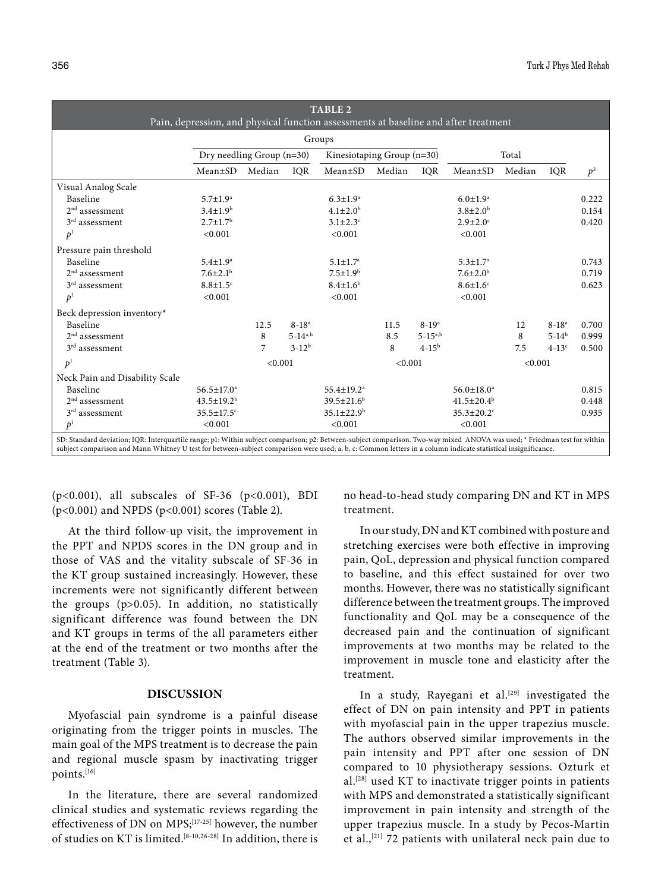| <b>TABLE 2</b><br>Pain, depression, and physical function assessments at baseline and after treatment |                              |         |                |                              |         |                |                              |         |                     |       |  |  |  |
|-------------------------------------------------------------------------------------------------------|------------------------------|---------|----------------|------------------------------|---------|----------------|------------------------------|---------|---------------------|-------|--|--|--|
|                                                                                                       | Groups                       |         |                |                              |         |                |                              |         |                     |       |  |  |  |
|                                                                                                       | Dry needling Group $(n=30)$  |         |                | Kinesiotaping Group (n=30)   |         |                |                              | Total   |                     |       |  |  |  |
|                                                                                                       | $Mean \pm SD$                | Median  | IQR            | $Mean \pm SD$                | Median  | IQR            | Mean±SD                      | Median  | IQR                 | $p^2$ |  |  |  |
| Visual Analog Scale                                                                                   |                              |         |                |                              |         |                |                              |         |                     |       |  |  |  |
| Baseline                                                                                              | $5.7 \pm 1.9^{\mathrm{a}}$   |         |                | $6.3 \pm 1.9^a$              |         |                | $6.0 \pm 1.9^a$              |         |                     | 0.222 |  |  |  |
| $2nd$ assessment                                                                                      | $3.4 \pm 1.9^b$              |         |                | $4.1 \pm 2.0^b$              |         |                | $3.8 \pm 2.0^b$              |         |                     | 0.154 |  |  |  |
| 3 <sup>rd</sup> assessment                                                                            | $2.7 \pm 1.7$ <sup>b</sup>   |         |                | $3.1 \pm 2.3$ °              |         |                | $2.9 \pm 2.0$ °              |         |                     | 0.420 |  |  |  |
| p <sup>1</sup>                                                                                        | < 0.001                      |         |                | < 0.001                      |         |                | < 0.001                      |         |                     |       |  |  |  |
| Pressure pain threshold                                                                               |                              |         |                |                              |         |                |                              |         |                     |       |  |  |  |
| Baseline                                                                                              | $5.4 \pm 1.9^{\circ}$        |         |                | $5.1 \pm 1.7^a$              |         |                | $5.3 \pm 1.7^a$              |         |                     | 0.743 |  |  |  |
| $2nd$ assessment                                                                                      | $7.6 \pm 2.1^b$              |         |                | $7.5 \pm 1.9^b$              |         |                | $7.6 \pm 2.0^b$              |         |                     | 0.719 |  |  |  |
| 3 <sup>rd</sup> assessment                                                                            | $8.8 \pm 1.5$ °              |         |                | $8.4 \pm 1.6^b$              |         |                | $8.6 \pm 1.6$ <sup>c</sup>   |         |                     | 0.623 |  |  |  |
| p <sup>1</sup>                                                                                        | < 0.001                      |         |                | < 0.001                      |         |                | < 0.001                      |         |                     |       |  |  |  |
| Beck depression inventory*                                                                            |                              |         |                |                              |         |                |                              |         |                     |       |  |  |  |
| Baseline                                                                                              |                              | 12.5    | $8 - 18^{a}$   |                              | 11.5    | $8-19^a$       |                              | 12      | $8 - 18^a$          | 0.700 |  |  |  |
| $2nd$ assessment                                                                                      |                              | 8       | $5 - 14^{a,b}$ |                              | 8.5     | $5 - 15^{a,b}$ |                              | 8       | $5-14^{b}$          | 0.999 |  |  |  |
| $3rd$ assessment                                                                                      |                              | 7       | $3-12^{b}$     |                              | 8       | $4-15^{b}$     |                              | 7.5     | $4-13$ <sup>c</sup> | 0.500 |  |  |  |
| p <sup>1</sup>                                                                                        |                              | < 0.001 |                |                              | < 0.001 |                |                              | < 0.001 |                     |       |  |  |  |
| Neck Pain and Disability Scale                                                                        |                              |         |                |                              |         |                |                              |         |                     |       |  |  |  |
| Baseline                                                                                              | $56.5 \pm 17.0$ <sup>a</sup> |         |                | 55.4±19.2 <sup>a</sup>       |         |                | $56.0 \pm 18.0^a$            |         |                     | 0.815 |  |  |  |
| $2nd$ assessment                                                                                      | $43.5 \pm 19.2^b$            |         |                | $39.5 \pm 21.6$ <sup>b</sup> |         |                | $41.5 \pm 20.4$ <sup>b</sup> |         |                     | 0.448 |  |  |  |
| $3rd$ assessment                                                                                      | $35.5 \pm 17.5$ °            |         |                | $35.1 \pm 22.9^b$            |         |                | $35.3 \pm 20.2$ <sup>c</sup> |         |                     | 0.935 |  |  |  |
| p <sup>1</sup>                                                                                        | < 0.001                      |         |                | < 0.001                      |         |                | < 0.001                      |         |                     |       |  |  |  |

uartile range: p1: Within subject comparison; p2: Between-subsubject comparison and Mann Whitney U test for between-subject comparison were used; a, b, c: Common letters in a column indicate statistical insignificance.

 $(p<0.001)$ , all subscales of SF-36  $(p<0.001)$ , BDI (p<0.001) and NPDS (p<0.001) scores (Table 2).

At the third follow-up visit, the improvement in the PPT and NPDS scores in the DN group and in those of VAS and the vitality subscale of SF-36 in the KT group sustained increasingly. However, these increments were not significantly different between the groups (p>0.05). In addition, no statistically significant difference was found between the DN and KT groups in terms of the all parameters either at the end of the treatment or two months after the treatment (Table 3).

# **DISCUSSION**

Myofascial pain syndrome is a painful disease originating from the trigger points in muscles. The main goal of the MPS treatment is to decrease the pain and regional muscle spasm by inactivating trigger points.[16]

In the literature, there are several randomized clinical studies and systematic reviews regarding the effectiveness of DN on MPS;<sup>[17-25]</sup> however, the number of studies on KT is limited.<sup>[8-10,26-28]</sup> In addition, there is no head-to-head study comparing DN and KT in MPS treatment.

In our study, DN and KT combined with posture and stretching exercises were both effective in improving pain, QoL, depression and physical function compared to baseline, and this effect sustained for over two months. However, there was no statistically significant difference between the treatment groups. The improved functionality and QoL may be a consequence of the decreased pain and the continuation of significant improvements at two months may be related to the improvement in muscle tone and elasticity after the treatment.

In a study, Rayegani et al.<sup>[29]</sup> investigated the effect of DN on pain intensity and PPT in patients with myofascial pain in the upper trapezius muscle. The authors observed similar improvements in the pain intensity and PPT after one session of DN compared to 10 physiotherapy sessions. Ozturk et al.[28] used KT to inactivate trigger points in patients with MPS and demonstrated a statistically significant improvement in pain intensity and strength of the upper trapezius muscle. In a study by Pecos-Martin et al.,[21] 72 patients with unilateral neck pain due to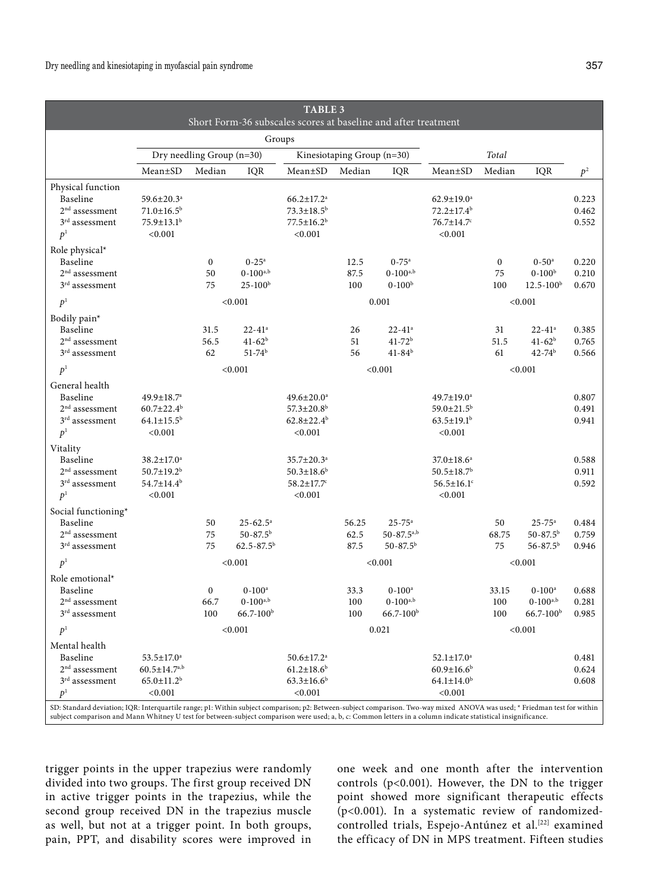|                                                                                                                                                                                                                                                                                                                                            |                                                                                        |                           |                                                                         | <b>TABLE 3</b><br>Short Form-36 subscales scores at baseline and after treatment                        |                       |                                                                          |                                                                                                  |                           |                                                                |                         |
|--------------------------------------------------------------------------------------------------------------------------------------------------------------------------------------------------------------------------------------------------------------------------------------------------------------------------------------------|----------------------------------------------------------------------------------------|---------------------------|-------------------------------------------------------------------------|---------------------------------------------------------------------------------------------------------|-----------------------|--------------------------------------------------------------------------|--------------------------------------------------------------------------------------------------|---------------------------|----------------------------------------------------------------|-------------------------|
|                                                                                                                                                                                                                                                                                                                                            |                                                                                        |                           |                                                                         | Groups                                                                                                  |                       |                                                                          |                                                                                                  |                           |                                                                |                         |
|                                                                                                                                                                                                                                                                                                                                            |                                                                                        | Dry needling Group (n=30) |                                                                         | Kinesiotaping Group (n=30)                                                                              |                       |                                                                          | Total                                                                                            |                           |                                                                |                         |
|                                                                                                                                                                                                                                                                                                                                            | Mean±SD                                                                                | Median                    | IQR                                                                     | $Mean \pm SD$                                                                                           | Median                | IQR                                                                      | Mean±SD                                                                                          | Median                    | IQR                                                            | $p^2$                   |
| Physical function<br>Baseline<br>$2nd$ assessment<br>3 <sup>rd</sup> assessment<br>p <sup>1</sup>                                                                                                                                                                                                                                          | $59.6 \pm 20.3^a$<br>$71.0 \pm 16.5^b$<br>75.9±13.1 <sup>b</sup><br>< 0.001            |                           |                                                                         | $66.2 \pm 17.2$ <sup>a</sup><br>$73.3 \pm 18.5^b$<br>$77.5 \pm 16.2^b$<br>< 0.001                       |                       |                                                                          | $62.9 \pm 19.0^a$<br>72.2±17.4 <sup>b</sup><br>76.7±14.7c<br>< 0.001                             |                           |                                                                | 0.223<br>0.462<br>0.552 |
| Role physical*<br>Baseline<br>$2nd$ assessment<br>$3rd$ assessment                                                                                                                                                                                                                                                                         |                                                                                        | $\mathbf{0}$<br>50<br>75  | $0 - 25$ <sup>a</sup><br>$0-100^{a,b}$<br>$25 - 100b$                   |                                                                                                         | 12.5<br>87.5<br>100   | $0 - 75$ <sup>a</sup><br>$0-100^{a,b}$<br>$0 - 100b$                     |                                                                                                  | $\mathbf{0}$<br>75<br>100 | $0 - 50$ <sup>a</sup><br>$0 - 100b$<br>$12.5 - 100b$           | 0.220<br>0.210<br>0.670 |
| p <sup>1</sup>                                                                                                                                                                                                                                                                                                                             |                                                                                        |                           | < 0.001                                                                 |                                                                                                         |                       | 0.001                                                                    |                                                                                                  |                           | < 0.001                                                        |                         |
| Bodily pain*<br>Baseline<br>$2^{\rm nd}$ assessment<br>$3rd$ assessment                                                                                                                                                                                                                                                                    |                                                                                        | 31.5<br>56.5<br>62        | $22 - 41$ <sup>a</sup><br>$41-62b$<br>$51-74^b$                         |                                                                                                         | 26<br>51<br>56        | $22 - 41$ <sup>a</sup><br>$41 - 72$ <sup>b</sup><br>$41 - 84^{b}$        |                                                                                                  | 31<br>51.5<br>61          | $22 - 41$ <sup>a</sup><br>$41 - 62b$<br>$42 - 74$ <sup>b</sup> | 0.385<br>0.765<br>0.566 |
| p <sup>1</sup>                                                                                                                                                                                                                                                                                                                             |                                                                                        |                           | < 0.001                                                                 |                                                                                                         |                       | < 0.001                                                                  |                                                                                                  |                           | < 0.001                                                        |                         |
| General health<br>Baseline<br>$2nd$ assessment<br>3 <sup>rd</sup> assessment<br>p <sup>1</sup>                                                                                                                                                                                                                                             | $49.9 \pm 18.7^a$<br>$60.7 \pm 22.4^b$<br>$64.1 \pm 15.5^b$<br>< 0.001                 |                           |                                                                         | $49.6 \pm 20.0^a$<br>$57.3 \pm 20.8$ <sup>b</sup><br>$62.8 \pm 22.4$ <sup>b</sup><br>< 0.001            |                       |                                                                          | $49.7 \pm 19.0^{\text{a}}$<br>$59.0 \pm 21.5^{\rm b}$<br>$63.5 \pm 19.1$ <sup>b</sup><br>< 0.001 |                           |                                                                | 0.807<br>0.491<br>0.941 |
| Vitality<br>Baseline<br>$2nd$ assessment<br>3 <sup>rd</sup> assessment<br>p <sup>1</sup>                                                                                                                                                                                                                                                   | $38.2 \pm 17.0^a$<br>$50.7 \pm 19.2$ <sup>b</sup><br>54.7±14.4 <sup>b</sup><br>< 0.001 |                           |                                                                         | 35.7±20.3 <sup>a</sup><br>$50.3 \pm 18.6$ <sup>b</sup><br>58.2±17.7c<br>< 0.001                         |                       |                                                                          | $37.0 \pm 18.6^a$<br>$50.5 \pm 18.7$ <sup>b</sup><br>$56.5 \pm 16.1$ <sup>c</sup><br>< 0.001     |                           |                                                                | 0.588<br>0.911<br>0.592 |
| Social functioning*<br>Baseline<br>$2nd$ assessment<br>$3rd$ assessment<br>p <sup>1</sup>                                                                                                                                                                                                                                                  |                                                                                        | 50<br>75<br>75            | $25 - 62.5^a$<br>$50 - 87.5^b$<br>$62.5 - 87.5$ <sup>b</sup><br>< 0.001 |                                                                                                         | 56.25<br>62.5<br>87.5 | $25 - 75^{\circ}$<br>$50 - 87.5^{a,b}$<br>$50 - 87.5^{\rm b}$<br>< 0.001 |                                                                                                  | 50<br>68.75<br>75         | $25 - 75^{\circ}$<br>$50 - 87.5^b$<br>$56 - 87.5^b$<br>< 0.001 | 0.484<br>0.759<br>0.946 |
| Role emotional*<br>Baseline<br>$2nd$ assessment<br>3 <sup>rd</sup> assessment                                                                                                                                                                                                                                                              |                                                                                        | 0<br>66.7<br>100          | $0 - 100$ <sup>a</sup><br>$0 - 100^{a,b}$<br>$66.7 - 100b$              |                                                                                                         | 33.3<br>100<br>100    | $0 - 100^a$<br>$0-100^{a,b}$<br>$66.7 - 100b$                            |                                                                                                  | 33.15<br>100<br>100       | $0 - 100^a$<br>$0-100^{a,b}$<br>66.7-100 <sup>b</sup>          | 0.688<br>0.281<br>0.985 |
| p <sup>1</sup>                                                                                                                                                                                                                                                                                                                             |                                                                                        |                           | < 0.001                                                                 |                                                                                                         |                       | 0.021                                                                    |                                                                                                  |                           | < 0.001                                                        |                         |
| Mental health<br>Baseline<br>$2nd$ assessment<br>3 <sup>rd</sup> assessment<br>p <sup>1</sup>                                                                                                                                                                                                                                              | $53.5 \pm 17.0^a$<br>$60.5 \pm 14.7^{a,b}$<br>$65.0 \pm 11.2$ <sup>b</sup><br>< 0.001  |                           |                                                                         | $50.6 \pm 17.2$ <sup>a</sup><br>$61.2 \pm 18.6$ <sup>b</sup><br>$63.3 \pm 16.6$ <sup>b</sup><br>< 0.001 |                       |                                                                          | $52.1 \pm 17.0^a$<br>$60.9 \pm 16.6$ <sup>b</sup><br>$64.1 \pm 14.0^b$<br>< 0.001                |                           |                                                                | 0.481<br>0.624<br>0.608 |
| SD: Standard deviation; IQR: Interquartile range; p1: Within subject comparison; p2: Between-subject comparison. Two-way mixed ANOVA was used; * Friedman test for within<br>subject comparison and Mann Whitney U test for between-subject comparison were used; a, b, c: Common letters in a column indicate statistical insignificance. |                                                                                        |                           |                                                                         |                                                                                                         |                       |                                                                          |                                                                                                  |                           |                                                                |                         |

trigger points in the upper trapezius were randomly divided into two groups. The first group received DN in active trigger points in the trapezius, while the second group received DN in the trapezius muscle as well, but not at a trigger point. In both groups, pain, PPT, and disability scores were improved in

one week and one month after the intervention controls (p<0.001). However, the DN to the trigger point showed more significant therapeutic effects (p<0.001). In a systematic review of randomizedcontrolled trials, Espejo-Antúnez et al.<sup>[22]</sup> examined the efficacy of DN in MPS treatment. Fifteen studies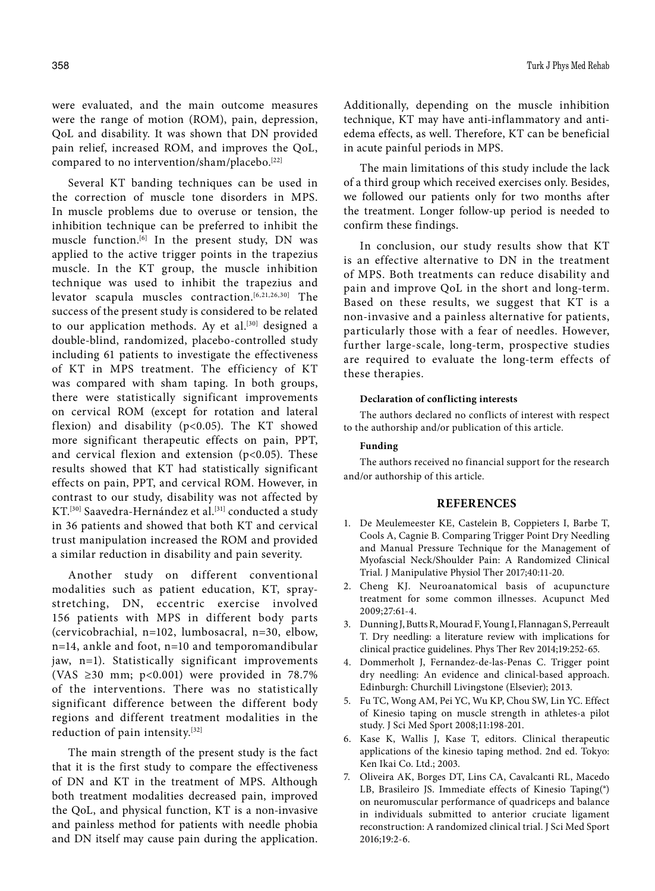were evaluated, and the main outcome measures were the range of motion (ROM), pain, depression, QoL and disability. It was shown that DN provided pain relief, increased ROM, and improves the QoL, compared to no intervention/sham/placebo.[22]

Several KT banding techniques can be used in the correction of muscle tone disorders in MPS. In muscle problems due to overuse or tension, the inhibition technique can be preferred to inhibit the muscle function.[6] In the present study, DN was applied to the active trigger points in the trapezius muscle. In the KT group, the muscle inhibition technique was used to inhibit the trapezius and levator scapula muscles contraction.<sup>[6,21,26,30]</sup> The success of the present study is considered to be related to our application methods. Ay et al.<sup>[30]</sup> designed a double-blind, randomized, placebo-controlled study including 61 patients to investigate the effectiveness of KT in MPS treatment. The efficiency of KT was compared with sham taping. In both groups, there were statistically significant improvements on cervical ROM (except for rotation and lateral flexion) and disability (p<0.05). The KT showed more significant therapeutic effects on pain, PPT, and cervical flexion and extension ( $p$ <0.05). These results showed that KT had statistically significant effects on pain, PPT, and cervical ROM. However, in contrast to our study, disability was not affected by KT.<sup>[30]</sup> Saavedra-Hernández et al.<sup>[31]</sup> conducted a study in 36 patients and showed that both KT and cervical trust manipulation increased the ROM and provided a similar reduction in disability and pain severity.

Another study on different conventional modalities such as patient education, KT, spraystretching, DN, eccentric exercise involved 156 patients with MPS in different body parts (cervicobrachial, n=102, lumbosacral, n=30, elbow, n=14, ankle and foot, n=10 and temporomandibular jaw, n=1). Statistically significant improvements (VAS  $\geq$ 30 mm; p<0.001) were provided in 78.7% of the interventions. There was no statistically significant difference between the different body regions and different treatment modalities in the reduction of pain intensity.[32]

The main strength of the present study is the fact that it is the first study to compare the effectiveness of DN and KT in the treatment of MPS. Although both treatment modalities decreased pain, improved the QoL, and physical function, KT is a non-invasive and painless method for patients with needle phobia and DN itself may cause pain during the application. Additionally, depending on the muscle inhibition technique, KT may have anti-inflammatory and antiedema effects, as well. Therefore, KT can be beneficial in acute painful periods in MPS.

The main limitations of this study include the lack of a third group which received exercises only. Besides, we followed our patients only for two months after the treatment. Longer follow-up period is needed to confirm these findings.

In conclusion, our study results show that KT is an effective alternative to DN in the treatment of MPS. Both treatments can reduce disability and pain and improve QoL in the short and long-term. Based on these results, we suggest that KT is a non-invasive and a painless alternative for patients, particularly those with a fear of needles. However, further large-scale, long-term, prospective studies are required to evaluate the long-term effects of these therapies.

### **Declaration of conflicting interests**

The authors declared no conflicts of interest with respect to the authorship and/or publication of this article.

## **Funding**

The authors received no financial support for the research and/or authorship of this article.

## **REFERENCES**

- 1. De Meulemeester KE, Castelein B, Coppieters I, Barbe T, Cools A, Cagnie B. Comparing Trigger Point Dry Needling and Manual Pressure Technique for the Management of Myofascial Neck/Shoulder Pain: A Randomized Clinical Trial. J Manipulative Physiol Ther 2017;40:11-20.
- 2. Cheng KJ. Neuroanatomical basis of acupuncture treatment for some common illnesses. Acupunct Med 2009;27:61-4.
- 3. Dunning J, Butts R, Mourad F, Young I, Flannagan S, Perreault T. Dry needling: a literature review with implications for clinical practice guidelines. Phys Ther Rev 2014;19:252-65.
- 4. Dommerholt J, Fernandez-de-las-Penas C. Trigger point dry needling: An evidence and clinical-based approach. Edinburgh: Churchill Livingstone (Elsevier); 2013.
- 5. Fu TC, Wong AM, Pei YC, Wu KP, Chou SW, Lin YC. Effect of Kinesio taping on muscle strength in athletes-a pilot study. J Sci Med Sport 2008;11:198-201.
- 6. Kase K, Wallis J, Kase T, editors. Clinical therapeutic applications of the kinesio taping method. 2nd ed. Tokyo: Ken Ikai Co. Ltd.; 2003.
- 7. Oliveira AK, Borges DT, Lins CA, Cavalcanti RL, Macedo LB, Brasileiro JS. Immediate effects of Kinesio Taping(®) on neuromuscular performance of quadriceps and balance in individuals submitted to anterior cruciate ligament reconstruction: A randomized clinical trial. J Sci Med Sport 2016;19:2-6.